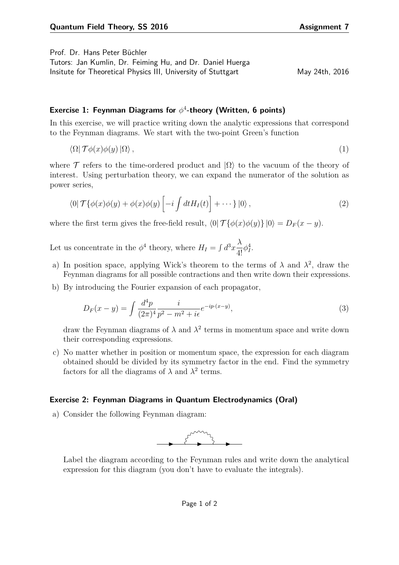Prof. Dr. Hans Peter Büchler

Tutors: Jan Kumlin, Dr. Feiming Hu, and Dr. Daniel Huerga Insitute for Theoretical Physics III, University of Stuttgart May 24th, 2016

## **Exercise 1: Feynman Diagrams for** *φ* 4 **-theory (Written, 6 points)**

In this exercise, we will practice writing down the analytic expressions that correspond to the Feynman diagrams. We start with the two-point Green's function

$$
\langle \Omega | \mathcal{T} \phi(x) \phi(y) | \Omega \rangle, \tag{1}
$$

where T refers to the time-ordered product and  $|\Omega\rangle$  to the vacuum of the theory of interest. Using perturbation theory, we can expand the numerator of the solution as power series,

$$
\langle 0| \mathcal{T}\{\phi(x)\phi(y) + \phi(x)\phi(y) \left[ -i \int dt H_I(t) \right] + \cdots \} |0\rangle, \qquad (2)
$$

where the first term gives the free-field result,  $\langle 0| \mathcal{T} {\phi(x) \phi(y)} |0 \rangle = D_F(x - y)$ .

Let us concentrate in the  $\phi^4$  theory, where  $H_I = \int d^3x \frac{\lambda}{4!}$  $\frac{\Lambda}{4!} \phi_I^4$ .

- a) In position space, applying Wick's theorem to the terms of  $\lambda$  and  $\lambda^2$ , draw the Feynman diagrams for all possible contractions and then write down their expressions.
- b) By introducing the Fourier expansion of each propagator,

$$
D_F(x - y) = \int \frac{d^4p}{(2\pi)^4} \frac{i}{p^2 - m^2 + i\epsilon} e^{-ip \cdot (x - y)},\tag{3}
$$

draw the Feynman diagrams of  $\lambda$  and  $\lambda^2$  terms in momentum space and write down their corresponding expressions.

c) No matter whether in position or momentum space, the expression for each diagram obtained should be divided by its symmetry factor in the end. Find the symmetry factors for all the diagrams of  $\lambda$  and  $\lambda^2$  terms.

## **Exercise 2: Feynman Diagrams in Quantum Electrodynamics (Oral)**

a) Consider the following Feynman diagram:



Label the diagram according to the Feynman rules and write down the analytical expression for this diagram (you don't have to evaluate the integrals).